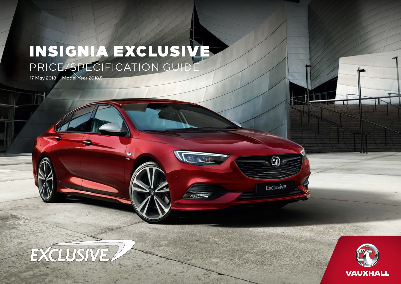# INSIGNIA EXCLUSIVE PRICE/SPECIFICATION GUIDE

 $\sim$ 

 $\widehat{\mathbf{r}}$ 

Exclusive

17 May 2018 | Model Year 2018.5



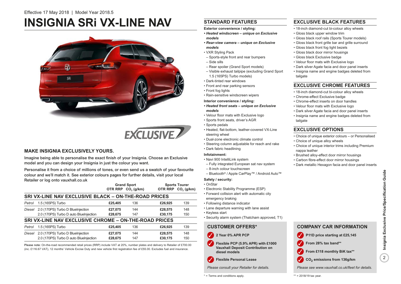# **INSIGNIA SRi VX-LINE NAV**





## **MAKE INSIGNIA EXCLUSIVELY YOURS.**

Imagine being able to personalise the exact finish of your Insignia. Choose an Exclusive model and you can design your Insignia in just the colour you want.

Personalise it from a choice of millions of tones, or even send us a swatch of your favourite colour and we'll match it. See exterior colours pages for further details, visit your local Retailer or log onto vauxhall.co.uk

|        |                                                             |         | <b>Grand Sport</b>             |         | <b>Sports Tourer</b>           |  |  |  |  |
|--------|-------------------------------------------------------------|---------|--------------------------------|---------|--------------------------------|--|--|--|--|
|        |                                                             |         | OTR RRP CO <sub>2</sub> (g/km) |         | OTR RRP CO <sub>2</sub> (g/km) |  |  |  |  |
|        | <b>SRI VX-LINE NAV EXCLUSIVE BLACK - ON-THE-ROAD PRICES</b> |         |                                |         |                                |  |  |  |  |
| Petrol | 1.5 (165PS) Turbo                                           | £25,405 | 136                            | £26,925 | 139                            |  |  |  |  |
| Diesel | 2.0 (170PS) Turbo D BlueInjection                           | £27,075 | 144                            | £28,575 | 148                            |  |  |  |  |
|        | 2.0 (170PS) Turbo D auto BlueInjection                      | £28,675 | 147                            | £30.175 | 150                            |  |  |  |  |
|        | SRI VX-LINE NAV EXCLUSIVE CHROME - ON-THE-ROAD PRICES       |         |                                |         |                                |  |  |  |  |
| Petrol | 1.5 (165PS) Turbo                                           | £25,405 | 136                            | £26,925 | 139                            |  |  |  |  |
| Diesel | 2.0 (170PS) Turbo D BlueInjection                           | £27.075 | 144                            | £28,575 | 148                            |  |  |  |  |
|        | 2.0 (170PS) Turbo D auto BlueInjection                      | £28,675 | 147                            | £30.175 | 150                            |  |  |  |  |

Please note: On-the-road recommended retail prices (RRP) include VAT at 20%, number plates and delivery to Retailer of £700.00 (inc. £116.67 VAT), 12 months' Vehicle Excise Duty and new vehicle first registration fee of £55.00. Excludes fuel and insurance.

# **STANDARD FEATURES**

**Exterior convenience / styling:**

- *Heated windscreen unique on Exclusive models*
- *Rear-view camera unique on Exclusive models*
- VXR Styling Pack
- Sports-style front and rear bumpers
- Side sills
- Rear spoiler (Grand Sport models)
- Visible exhaust tailpipe (excluding Grand Sport 1.5 (165PS) Turbo models)
- Dark-tinted rear windows
- Front and rear parking sensors
- Front fog lights
- Rain-sensitive windscreen wipers

#### **Interior convenience / styling:**

- *Heated front seats unique on Exclusive models*
- Velour floor mats with Exclusive logo
- Sports front seats, driver's AGR
	- Sports pedals
	- Heated, flat-bottom, leather-covered VX-Line steering wheel
	- Dual-zone electronic climate control
	- Steering column adjustable for reach and rake
	- Dark fabric headlining

#### **Infotainment:**

- Navi 900 IntelliLink system
- Fully integrated European sat nav system
- 8-inch colour touchscreen
- Bluetooth® / Apple CarPlay™ / Android Auto™

#### **Safety / security:**

- OnStar • Electronic Stability Programme (ESP)
- Forward collision alert with automatic city emergency braking
- Following distance indicator
- Lane departure warning with lane assist
- Keyless start
- Security alarm system (Thatcham approved, T1)

# **CUSTOMER OFFERS\***

- ✓ **2 Year 0% APR PCP**
- **Flexible PCP (5.9% APR) with £1000 Vauxhall Deposit Contribution on diesel models** ✓
- ✓ **Flexible Personal Lease**

*Please consult your Retailer for details.*

\* = Terms and conditions apply.

# **EXCLUSIVE BLACK FEATURES**

- 18-inch diamond-cut bi-colour alloy wheels
- Gloss black upper window trim
- Gloss black roof rails (Sports Tourer models)
- Gloss black front grille bar and grille surround
	- Gloss black front fog light bezels
	- Gloss black door mirror housings
	- Gloss black Exclusive badge
	- Velour floor mats with Exclusive logo
	- Dark silver Agate facia and door panel inserts
	- Insignia name and engine badges deleted from tailgate

## **EXCLUSIVE CHROME FEATURES**

- 18-inch diamond-cut bi-colour alloy wheels
- Chrome-effect Exclusive badge
- Chrome-effect inserts on door handles
- Velour floor mats with Exclusive logo
- Dark silver Agate facia and door panel inserts • Insignia name and engine badges deleted from
	- tailgate

### **EXCLUSIVE OPTIONS**

- Choice of unique exterior colours or Personalised
- Choice of unique alloy wheels
- Choice of unique interior trims including Premium nappa leather
- Brushed alloy-effect door mirror housings
- Carbon fibre-effect door mirror housings
- Dark metallic Hexagon facia and door panel inserts

# **CO2** ✓ **emissions from 136g/km**

From 28% tax band\*\*

 $**$  = 2018/19 tax year.

*Please see www.vauxhall.co.uk/fleet for details.*

**COMPANY CAR INFORMATION**

✓ **P11D price starting at £25,145**

From £118 monthly BiK tax\*\*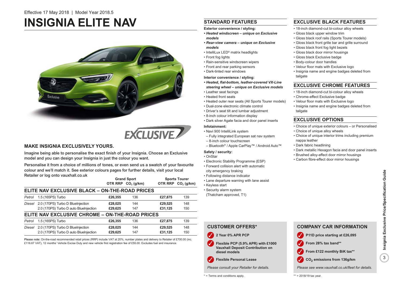# **INSIGNIA ELITE NAV**





# **MAKE INSIGNIA EXCLUSIVELY YOURS.**

Imagine being able to personalise the exact finish of your Insignia. Choose an Exclusive model and you can design your Insignia in just the colour you want.

Personalise it from a choice of millions of tones, or even send us a swatch of your favourite colour and we'll match it. See exterior colours pages for further details, visit your local Retailer or log onto vauxhall.co.uk

|        |                                                 |         | <b>Grand Sport</b><br>OTR RRP CO <sub>2</sub> (g/km) |         | <b>Sports Tourer</b><br>OTR RRP CO <sub>2</sub> (g/km) |
|--------|-------------------------------------------------|---------|------------------------------------------------------|---------|--------------------------------------------------------|
|        | ELITE NAV EXCLUSIVE BLACK - ON-THE-ROAD PRICES  |         |                                                      |         |                                                        |
| Petrol | 1.5 (165PS) Turbo                               | £26,355 | 136                                                  | £27,875 | 139                                                    |
| Diesel | 2.0 (170PS) Turbo D BlueInjection               | £28,025 | 144                                                  | £29,525 | 148                                                    |
|        | 2.0 (170PS) Turbo D auto BlueInjection          | £29.625 | 147                                                  | £31.125 | 150                                                    |
|        | ELITE NAV EXCLUSIVE CHROME - ON-THE-ROAD PRICES |         |                                                      |         |                                                        |
| Petrol | 1.5 (165PS) Turbo                               | £26,355 | 136                                                  | £27,875 | 139                                                    |
| Diesel | 2.0 (170PS) Turbo D BlueInjection               | £28,025 | 144                                                  | £29,525 | 148                                                    |
|        | 2.0 (170PS) Turbo D auto BlueInjection          | £29,625 | 147                                                  | £31.125 | 150                                                    |

Please note: On-the-road recommended retail prices (RRP) include VAT at 20%, number plates and delivery to Retailer of £700.00 (inc. £116.67 VAT), 12 months' Vehicle Excise Duty and new vehicle first registration fee of £55.00. Excludes fuel and insurance.

# **STANDARD FEATURES**

#### **Exterior convenience / styling:**

- *Heated windscreen unique on Exclusive models*
- *Rear-view camera unique on Exclusive models*
- IntelliLux LED® matrix headlights
- Front fog lights
- Rain-sensitive windscreen wipers
- Front and rear parking sensors
- Dark-tinted rear windows

### **Interior convenience / styling:**

- *Heated, flat-bottom, leather-covered VX-Line steering wheel – unique on Exclusive models*
- Leather seat facings
- Heated front seats
- Heated outer rear seats (All Sports Tourer models)
- Dual-zone electronic climate control
- Driver's seat tilt and lumbar adjustment
- 8-inch colour information display
- Dark silver Agate facia and door panel inserts

#### **Infotainment:**

- Navi 900 IntelliLink system
- Fully integrated European sat nav system
- 8-inch colour touchscreen
- Bluetooth® / Apple CarPlay™ / Android Auto™

#### **Safety / security:**

- OnStar
- Electronic Stability Programme (ESP)
- Forward collision alert with automatic
- city emergency braking
- Following distance indicator
- Lane departure warning with lane assist
- Keyless start
- Security alarm system
- (Thatcham approved, T1)

# **CUSTOMER OFFERS\*** ✓ **2 Year 0% APR PCP**

- **Flexible PCP (5.9% APR) with £1000 Vauxhall Deposit Contribution on diesel models** ✓
- ✓ **Flexible Personal Lease**

*Please consult your Retailer for details.*

#### \* = Terms and conditions apply.

## **EXCLUSIVE BLACK FEATURES**

- 18-inch diamond-cut bi-colour alloy wheels
- Gloss black upper window trim
- Gloss black roof rails (Sports Tourer models)
- Gloss black front grille bar and grille surround
- Gloss black front fog light bezels
- Gloss black door mirror housings
	- Gloss black Exclusive badge
	- Body-colour door handles
	- Velour floor mats with Exclusive logo
	- Insignia name and engine badges deleted from tailgate

### **EXCLUSIVE CHROME FEATURES**

- 18-inch diamond-cut bi-colour alloy wheels
- Chrome-effect Exclusive badge
- Velour floor mats with Exclusive logo
- Insignia name and engine badges deleted from tailgate

## **EXCLUSIVE OPTIONS**

- Choice of unique exterior colours or Personalised
- Choice of unique alloy wheels
- Choice of unique interior trims including premium nappa leather
- Dark fabric headlining
- Dark metallic Hexagon facia and door panel inserts
- Brushed alloy-effect door mirror housings

**COMPANY CAR INFORMATION**

✓ **P11D price starting at £26,095**

From £122 monthly BiK tax\*\* **CO2** ✓ **emissions from 136g/km**

✓ **From 28% tax band\*\***

• Carbon fibre-effect door mirror housings

# *Please see www.vauxhall.co.uk/fleet for details.*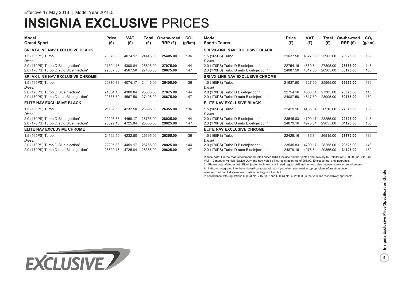# **INSIGNIA EXCLUSIVE** PRICES

| <b>Model</b><br><b>Grand Sport</b>      | <b>Price</b><br>(E) | <b>VAT</b><br>(E) | Total<br>(E) | On-the-road<br>RRP (£) | CO <sub>2</sub><br>(g/km) | Model<br><b>Sports Tourer</b>           | Price<br>(£) | VAT<br>(E) | Total<br>(£) | On-the-road<br>RRP(E) | CO <sub>2</sub><br>(g/km) |
|-----------------------------------------|---------------------|-------------------|--------------|------------------------|---------------------------|-----------------------------------------|--------------|------------|--------------|-----------------------|---------------------------|
| <b>SRI VX-LINE NAV EXCLUSIVE BLACK</b>  |                     |                   |              |                        |                           | <b>SRI VX-LINE NAV EXCLUSIVE BLACK</b>  |              |            |              |                       |                           |
| 1.5 (165PS) Turbo<br>Diesel             | 20370.83            | 4074.17           | 24445.00     | 25405.00               | 136                       | 1.5 (165PS) Turbo<br>Diesel             | 21637.50     | 4327.50    | 25965.00     | 26925.00              | 139                       |
| 2.0 (170PS) Turbo D BlueInjection*      | 21504.16            | 4300.84           | 25805.00     | 27075.00               | 144                       | 2.0 (170PS) Turbo D BlueInjection*      | 22754.16     | 4550.84    | 27305.00     | 28575.00              | 148                       |
| 2.0 (170PS) Turbo D auto BlueInjection* | 22837.50            | 4567.50           | 27405.00     | 28675.00               | 147                       | 2.0 (170PS) Turbo D auto BlueInjection* | 24087.50     | 4817.50    | 28905.00     | 30175.00              | 150                       |
| <b>SRI VX-LINE NAV EXCLUSIVE CHROME</b> |                     |                   |              |                        |                           | <b>SRI VX-LINE NAV EXCLUSIVE CHROME</b> |              |            |              |                       |                           |
| 1.5 (165PS) Turbo<br>Diesel             | 20370.83            | 4074.17           | 24445.00     | 25405.00               | 136                       | 1.5 (165PS) Turbo<br>Diesel             | 21637.50     | 4327.50    | 25965.00     | 26925.00              | 139                       |
| 2.0 (170PS) Turbo D BlueInjection*      | 21504.16            | 4300.84           | 25805.00     | 27075.00               | 144                       | 2.0 (170PS) Turbo D BlueInjection*      | 22754.16     | 4550.84    | 27305.00     | 28575.00              | 148                       |
| 2.0 (170PS) Turbo D auto BlueInjection* | 22837.50            | 4567.50           | 27405.00     | 28675.00               | 147                       | 2.0 (170PS) Turbo D auto BlueInjection* | 24087.50     | 4817.50    | 28905.00     | 30175.00              | 150                       |
| <b>ELITE NAV EXCLUSIVE BLACK</b>        |                     |                   |              |                        |                           | <b>ELITE NAV EXCLUSIVE BLACK</b>        |              |            |              |                       |                           |
| 1.5 (165PS) Turbo<br>Diesel             | 21162.50            | 4232.50           | 25395.00     | 26355.00               | 136                       | 1.5 (165PS) Turbo<br>Diesel             | 22429.16     | 4485.84    | 26915.00     | 27875.00              | 139                       |
| 2.0 (170PS) Turbo D BlueInjection*      | 22295.83            | 4459.17           | 26755.00     | 28025.00               | 144                       | 2.0 (170PS) Turbo D BlueInjection*      | 23545.83     | 4709.17    | 28255.00     | 29525.00              | 148                       |
| 2.0 (170PS) Turbo D auto BlueInjection* | 23629.16            | 4725.84           | 28355.00     | 29625.00               | 147                       | 2.0 (170PS) Turbo D auto BlueInjection* | 24879.16     | 4975.84    | 29855.00     | 31125.00              | 150                       |
| <b>ELITE NAV EXCLUSIVE CHROME</b>       |                     |                   |              |                        |                           | <b>ELITE NAV EXCLUSIVE CHROME</b>       |              |            |              |                       |                           |
| 1.5 (165PS) Turbo<br>Diesel             | 21162.50            | 4232.50           | 25395.00     | 26355.00               | 136                       | 1.5 (165PS) Turbo<br>Diesel             | 22429.16     | 4485.84    | 26915.00     | 27875.00              | 139                       |
| 2.0 (170PS) Turbo D BlueInjection*      | 22295.83            | 4459.17           | 26755.00     | 28025.00               | 144                       | 2.0 (170PS) Turbo D BlueInjection*      | 23545.83     | 4709.17    | 28255.00     | 29525.00              | 148                       |
| 2.0 (170PS) Turbo D auto BlueInjection* | 23629.16            | 4725.84           | 28355.00     | 29625.00               | 147                       | 2.0 (170PS) Turbo D auto BlueInjection* | 24879.16     | 4975.84    | 29855.00     | 31125.00              | 150                       |

Please note: On-the-road recommended retail prices (RRP) include number plates and delivery to Retailer of £700.00 (inc. £116.67

VAT) 12 months' Vehicle Excise Duty and new vehicle first registration fee of £55.00. Excludes fuel and insurance.

\* = Please note: Vehicles with BlueInjection technology will need regular AdBlue® top-ups also between servicing requirements. An indicator integrated into the on-board computer will warn you when you need to top up. More information under www.vauxhall.co.uk/discover-vauxhall/technology/adblue.html

In accordance with regulations R (EC) No. 715/2007 and R (EC) No. 692/2008 (in the versions respectively applicable).

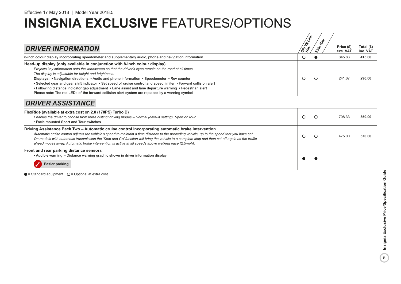| <b>DRIVER INFORMATION</b>                                                                                                                                                                                                                                                                                                                                                                                                                                                                                                                                                                                                                                                           | <b>Lynde</b><br><b>SRIA</b> |   | Price (£)<br>exc. VAT | Total $(E)$<br>inc. VAT |
|-------------------------------------------------------------------------------------------------------------------------------------------------------------------------------------------------------------------------------------------------------------------------------------------------------------------------------------------------------------------------------------------------------------------------------------------------------------------------------------------------------------------------------------------------------------------------------------------------------------------------------------------------------------------------------------|-----------------------------|---|-----------------------|-------------------------|
| 8-inch colour display incorporating speedometer and supplementary audio, phone and navigation information                                                                                                                                                                                                                                                                                                                                                                                                                                                                                                                                                                           |                             |   | 345.83                | 415.00                  |
| Head-up display (only available in conjunction with 8-inch colour display)<br>Projects key information onto the windscreen so that the driver's eyes remain on the road at all times.<br>The display is adjustable for height and brightness.<br>Displays: • Navigation directions • Audio and phone information • Speedometer • Rev counter<br>. Selected gear and gear shift indicator . Set speed of cruise control and speed limiter . Forward collision alert<br>• Following distance indicator gap adjustment • Lane assist and lane departure warning • Pedestrian alert<br>Please note: The red LEDs of the forward collision alert system are replaced by a warning symbol |                             | Ο | 241.67                | 290.00                  |

# *DRIVER ASSISTANCE*

| FlexRide (available at extra cost on 2.0 (170PS) Turbo D)<br>Enables the driver to choose from three distinct driving modes - Normal (default setting), Sport or Tour.<br>• Facia mounted Sport and Tour switches                                                                                                                                                                                                                                                                                             |  | 708.33<br>850.00 |
|---------------------------------------------------------------------------------------------------------------------------------------------------------------------------------------------------------------------------------------------------------------------------------------------------------------------------------------------------------------------------------------------------------------------------------------------------------------------------------------------------------------|--|------------------|
| Driving Assistance Pack Two – Automatic cruise control incorporating automatic brake intervention<br>Automatic cruise control adjusts the vehicle's speed to maintain a time distance to the preceding vehicle, up to the speed that you have set.<br>On models with automatic transmission the 'Stop and Go' function will bring the vehicle to a complete stop and then set off again as the traffic<br>ahead moves away. Automatic brake intervention is active at all speeds above walking pace (2.5mph). |  | 475.00<br>570.00 |
| Front and rear parking distance sensors<br>. Audible warning . Distance warning graphic shown in driver information display<br>Easier parking                                                                                                                                                                                                                                                                                                                                                                 |  |                  |

 $\bullet$  = Standard equipment.  $\bigcirc$  = Optional at extra cost.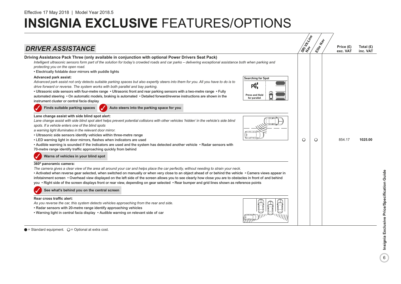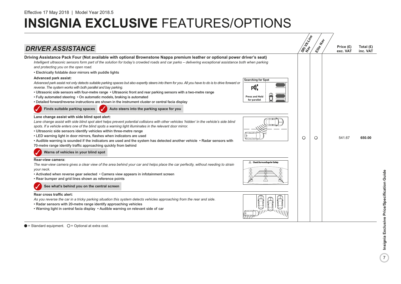

 $\bullet$  = Standard equipment.  $\circ$  = Optional at extra cost.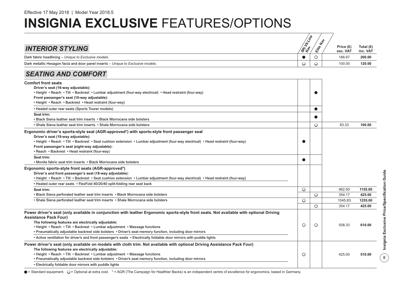| <b>INTERIOR STYLING</b>                                                                                                                                                                                                                                                                                                                                                                                                                                                                                                                            | SRi H-Xine | Hal<br>Eife | Price (£)<br>exc. VAT | Total $(E)$<br>inc. VAT |
|----------------------------------------------------------------------------------------------------------------------------------------------------------------------------------------------------------------------------------------------------------------------------------------------------------------------------------------------------------------------------------------------------------------------------------------------------------------------------------------------------------------------------------------------------|------------|-------------|-----------------------|-------------------------|
| Dark fabric headlining - Unique to Exclusive models.                                                                                                                                                                                                                                                                                                                                                                                                                                                                                               | $\bullet$  | $\circ$     | 166.67                | 200.00                  |
| Dark metallic Hexagon facia and door panel inserts - Unique to Exclusive models.                                                                                                                                                                                                                                                                                                                                                                                                                                                                   | $\circ$    | $\circ$     | 100.00                | 120.00                  |
| <b>SEATING AND COMFORT</b>                                                                                                                                                                                                                                                                                                                                                                                                                                                                                                                         |            |             |                       |                         |
| <b>Comfort front seats</b><br>Driver's seat (16-way adjustable):<br>• Height • Reach • Tilt • Backrest • Lumbar adjustment (four-way electrical) • Head restraint (four-way)<br>Front passenger's seat (10-way adjustable):<br>• Height • Reach • Backrest • Head restraint (four-way)                                                                                                                                                                                                                                                             |            |             |                       |                         |
| • Heated outer rear seats (Sports Tourer models)                                                                                                                                                                                                                                                                                                                                                                                                                                                                                                   |            | $\bullet$   |                       |                         |
| Seat trim:<br>• Black Siena leather seat trim inserts • Black Morrocana side bolsters                                                                                                                                                                                                                                                                                                                                                                                                                                                              |            |             |                       |                         |
| • Shale Siena leather seat trim inserts • Shale Morrocana side bolsters                                                                                                                                                                                                                                                                                                                                                                                                                                                                            |            | $\circ$     | 83.33                 | 100.00                  |
| Ergonomic driver's sports-style seat (AGR-approved*) with sports-style front passenger seat<br>Driver's seat (18-way adjustable):<br>• Height • Reach • Tilt • Backrest • Seat cushion extension • Lumbar adjustment (four-way electrical) • Head restraint (four-way)<br>Front passenger's seat (eight-way adjustable):<br>• Reach • Backrest • Head restraint (four-way)                                                                                                                                                                         |            |             |                       |                         |
| Seat trim:<br>• Monita fabric seat trim inserts • Black Morrocana side bolsters                                                                                                                                                                                                                                                                                                                                                                                                                                                                    | $\bullet$  |             |                       |                         |
| Ergonomic sports-style front seats (AGR-approved*)<br>Driver's and front passenger's seat (18-way adjustable):<br>· Height · Reach · Tilt · Backrest · Seat cushion extension · Lumbar adjustment (four-way electrical) · Head restraint (four-way)<br>• Heated outer rear seats • FlexFold 40/20/40 split-folding rear seat back                                                                                                                                                                                                                  |            |             |                       |                         |
| Seat trim:                                                                                                                                                                                                                                                                                                                                                                                                                                                                                                                                         | O          |             | 962.50                | 1155.00                 |
| • Black Siena perforated leather seat trim inserts • Black Morrocana side bolsters                                                                                                                                                                                                                                                                                                                                                                                                                                                                 |            | $\circ$     | 354.17                | 425.00                  |
| • Shale Siena perforated leather seat trim inserts • Shale Morrocana side bolsters                                                                                                                                                                                                                                                                                                                                                                                                                                                                 | O          |             | 1045.83               | 1255.00                 |
|                                                                                                                                                                                                                                                                                                                                                                                                                                                                                                                                                    |            | $\circ$     | 354.17                | 425.00                  |
| Power driver's seat (only available in conjunction with leather Ergonomic sports-style front seats. Not available with optional Driving<br><b>Assistance Pack Four)</b><br>The following features are electrically adjustable:<br>• Height • Reach • Tilt • Backrest • Lumbar adjustment • Massage functions<br>• Pneumatically adjustable backrest side bolsters • Driver's seat memory function, including door mirrors<br>• Active ventilation for driver's and front passenger's seats • Electrically foldable door mirrors with puddle lights | O          | $\circ$     | 508.33                | 610.00                  |
| Power driver's seat (only available on models with cloth trim. Not available with optional Driving Assistance Pack Four)<br>The following features are electrically adjustable:<br>• Height • Reach • Tilt • Backrest • Lumbar adjustment • Massage functions<br>· Pneumatically adjustable backrest side bolsters · Driver's seat memory function, including door mirrors<br>• Electrically foldable door mirrors with puddle lights                                                                                                              | O          |             | 425.00                | 510.00                  |

● = Standard equipment. ○ = Optional at extra cost. \* = AGR (The Campaign for Healthier Backs) is an independent centre of excellence for ergonomics, based in Germany.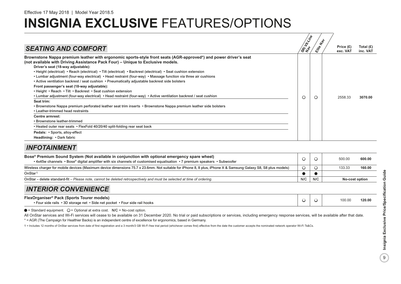| <b>SEATING AND COMFORT</b>                                                                                                                                                                                                                                                                                                                                                                                                                                                                                                                                                                                                                                                                                                                                                                                                                                                                                                                                                                                                                                                                                                                                                                          | SRI LIVING |   | Price $(E)$<br>exc. VAT | Total $(E)$<br>inc. VAT |
|-----------------------------------------------------------------------------------------------------------------------------------------------------------------------------------------------------------------------------------------------------------------------------------------------------------------------------------------------------------------------------------------------------------------------------------------------------------------------------------------------------------------------------------------------------------------------------------------------------------------------------------------------------------------------------------------------------------------------------------------------------------------------------------------------------------------------------------------------------------------------------------------------------------------------------------------------------------------------------------------------------------------------------------------------------------------------------------------------------------------------------------------------------------------------------------------------------|------------|---|-------------------------|-------------------------|
| Brownstone Nappa premium leather with ergonomic sports-style front seats (AGR-approved*) and power driver's seat<br>(not available with Driving Assistance Pack Four) – Unique to Exclusive models.<br>Driver's seat (18-way adjustable):<br>• Height (electrical) • Reach (electrical) • Tilt (electrical) • Backrest (electrical) • Seat cushion extension<br>• Lumbar adjustment (four-way electrical) • Head restraint (four-way) • Massage function via three air cushions<br>• Active ventilation backrest / seat cushion • Pneumatically adjustable backrest side bolsters<br>Front passenger's seat (18-way adjustable):<br>. Height . Reach . Tilt . Backrest . Seat cushion extension<br>• Lumbar adjustment (four-way electrical) • Head restraint (four-way) • Active ventilation backrest / seat cushion<br>Seat trim:<br>• Brownstone Nappa premium perforated leather seat trim inserts • Brownstone Nappa premium leather side bolsters<br>• Leather-trimmed head restraints<br><b>Centre armrest:</b><br>• Brownstone leather-trimmed<br>• Heated outer rear seats • FlexFold 40/20/40 split-folding rear seat back<br>Pedals: • Sports, alloy-effect<br>Headlining: • Dark fabric |            | Ο | 2558.33                 | 3070.00                 |

# *INFOTAINMENT*

| Bose® Premium Sound System (Not available in conjunction with optional emergency spare wheel)<br>• 4x45w channels • Bose® digital amplifier with six channels of customised equalisation • 7 premium speakers • Subwoofer |     |                              | 500.00<br>600.00 |  |
|---------------------------------------------------------------------------------------------------------------------------------------------------------------------------------------------------------------------------|-----|------------------------------|------------------|--|
| Wireless charger for mobile devices (Maximum device dimensions 75.7 x 23.6mm. Not suitable for iPhone 8, 8 plus, iPhone X & Samsung Galaxy S8, S8 plus models)                                                            | Ο   |                              | 133.33<br>160.00 |  |
| OnStar <sup>1</sup>                                                                                                                                                                                                       |     |                              |                  |  |
| OnStar – delete standard-fit – Please note, cannot be deleted retrospectively and must be selected at time of ordering.                                                                                                   | N/C | N/C<br><b>No-cost option</b> |                  |  |
| <b>INTERIOR CONVENIENCE</b>                                                                                                                                                                                               |     |                              |                  |  |
| FlexOrganiser® Pack (Sports Tourer models)<br>• Four side rails • 3D storage net • Side net pocket • Four side rail hooks                                                                                                 |     |                              | 120.00<br>100.00 |  |

 $\bullet$  = Standard equipment.  $\bigcirc$  = Optional at extra cost. N/C = No-cost option.

All OnStar services and Wi-Fi services will cease to be available on 31 December 2020. No trial or paid subscriptions or services, including emergency response services, will be available after that date.

\* = AGR (The Campaign for Healthier Backs) is an independent centre of excellence for ergonomics, based in Germany.

1 = Includes 12 months of OnStar services from date of first registration and a 3 month/3 GB Wi-Fi free trial period (whichever comes first) effective from the date the customer accepts the nominated network operator Wi-Fi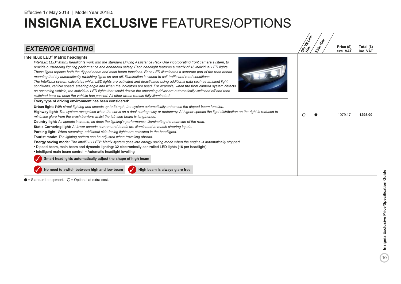| <b>EXTERIOR LIGHTING</b>                                                                                                                                                                                                                                                                                                                                                                                                                                                                                                                                                                                                                                                                                                                                                                                                                                                                                                                                                                                                                                                                                                                                                                                                                                                                                                                                                                                                                                                                                                                                                                                                                                                                                                                                                                                                                                                                                                                                                                                                                                                                                                                                                                                                                                                                                                                                                        | SRI HIVING | $\psi$<br>Elite | Price (£)<br>exc. VAT | Total $(E)$<br>inc. VAT |
|---------------------------------------------------------------------------------------------------------------------------------------------------------------------------------------------------------------------------------------------------------------------------------------------------------------------------------------------------------------------------------------------------------------------------------------------------------------------------------------------------------------------------------------------------------------------------------------------------------------------------------------------------------------------------------------------------------------------------------------------------------------------------------------------------------------------------------------------------------------------------------------------------------------------------------------------------------------------------------------------------------------------------------------------------------------------------------------------------------------------------------------------------------------------------------------------------------------------------------------------------------------------------------------------------------------------------------------------------------------------------------------------------------------------------------------------------------------------------------------------------------------------------------------------------------------------------------------------------------------------------------------------------------------------------------------------------------------------------------------------------------------------------------------------------------------------------------------------------------------------------------------------------------------------------------------------------------------------------------------------------------------------------------------------------------------------------------------------------------------------------------------------------------------------------------------------------------------------------------------------------------------------------------------------------------------------------------------------------------------------------------|------------|-----------------|-----------------------|-------------------------|
| IntelliLux LED <sup>®</sup> Matrix headlights<br>IntelliLux LED® Matrix headlights work with the standard Driving Assistance Pack One incorporating front camera system, to<br>provide outstanding lighting performance and enhanced safety. Each headlight features a matrix of 16 individual LED lights.<br>These lights replace both the dipped beam and main beam functions. Each LED illuminates a separate part of the road ahead<br>meaning that by automatically switching lights on and off, illumination is varied to suit traffic and road conditions.<br>The IntelliLux system calculates which LED lights are activated and deactivated using additional data such as ambient light<br>conditions, vehicle speed, steering angle and when the indicators are used. For example, when the front camera system detects<br>an oncoming vehicle, the individual LED lights that would dazzle the oncoming driver are automatically switched off and then<br>switched back on once the vehicle has passed. All other areas remain fully illuminated.<br>Every type of driving environment has been considered:<br><b>Urban light:</b> With street lighting and speeds up to 34mph, the system automatically enhances the dipped beam function.<br>Highway light: The system recognises when the car is on a dual carriageway or motorway. At higher speeds the light distribution on the right is reduced to<br>minimise glare from the crash barriers whilst the left-side beam is lengthened.<br>Country light: As speeds increase, so does the lighting's performance, illuminating the nearside of the road.<br>Static Cornering light: At lower speeds corners and bends are illuminated to match steering inputs.<br>Parking light: When reversing, additional side-facing lights are activated in the headlights.<br>Tourist mode: The lighting pattern can be adjusted when travelling abroad.<br>Energy saving mode: The IntelliLux LED® Matrix system goes into energy saving mode when the engine is automatically stopped.<br>. Dipped beam, main beam and dynamic lighting: 32 electronically controlled LED lights (16 per headlight)<br>• Intelligent main beam control • Automatic headlight levelling<br>Smart headlights automatically adjust the shape of high beam<br>No need to switch between high and low beam<br>High beam is always glare free | Ω          |                 | 1079.17               | 1295.00                 |

 $\bullet$  = Standard equipment.  $\bigcirc$  = Optional at extra cost.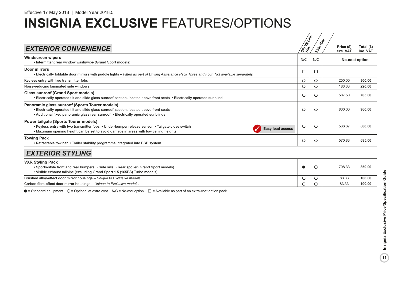| <b>EXTERIOR CONVENIENCE</b>                                                                                                                                                                                                                                  | SRi Utilipe | $\textbf{r}_{\phi}$<br>Eife | Price (£)<br>exc. VAT | Total (£)<br>inc. VAT |
|--------------------------------------------------------------------------------------------------------------------------------------------------------------------------------------------------------------------------------------------------------------|-------------|-----------------------------|-----------------------|-----------------------|
| <b>Windscreen wipers</b><br>• Intermittent rear window wash/wipe (Grand Sport models)                                                                                                                                                                        | N/C         | N/C                         |                       | No-cost option        |
| Door mirrors<br>• Electrically foldable door mirrors with puddle lights - Fitted as part of Driving Assistance Pack Three and Four. Not available separately.                                                                                                | □           | □                           |                       |                       |
| Keyless entry with two transmitter fobs                                                                                                                                                                                                                      | $\circ$     | $\circ$                     | 250.00                | 300.00                |
| Noise-reducing laminated side windows                                                                                                                                                                                                                        | $\circ$     | $\circ$                     | 183.33                | 220.00                |
| <b>Glass sunroof (Grand Sport models)</b><br>• Electrically operated tilt and slide glass sunroof section, located above front seats • Electrically operated sunblind                                                                                        | $\circ$     | $\circ$                     | 587.50                | 705.00                |
| Panoramic glass sunroof (Sports Tourer models)<br>• Electrically operated tilt and slide glass sunroof section, located above front seats<br>• Additional fixed panoramic glass rear sunroof • Electrically operated sunblinds                               | $\circ$     | $\circ$                     | 800.00                | 960.00                |
| <b>Power tailgate (Sports Tourer models)</b><br>• Keyless entry with two transmitter fobs • Under-bumper release sensor • Tailgate close switch<br>Easy load access<br>. Maximum opening height can be set to avoid damage in areas with low ceiling heights | $\circ$     | $\circ$                     | 566.67                | 680.00                |
| <b>Towing Pack</b><br>. Retractable tow bar • Trailer stability programme integrated into ESP system                                                                                                                                                         | O           | $\circ$                     | 570.83                | 685.00                |
| <b>EXTERIOR STYLING</b>                                                                                                                                                                                                                                      |             |                             |                       |                       |
| <b>VXR Styling Pack</b><br>• Sports-style front and rear bumpers • Side sills • Rear spoiler (Grand Sport models)<br>. Visible exhaust tailpipe (excluding Grand Sport 1.5 (165PS) Turbo models)                                                             |             | $\circ$                     | 708.33                | 850.00                |
| Brushed alloy-effect door mirror housings - Unique to Exclusive models.                                                                                                                                                                                      | $\circ$     | $\circ$                     | 83.33                 | 100.00                |
| Carbon fibre-effect door mirror housings - Unique to Exclusive models.                                                                                                                                                                                       | $\circ$     | $\circ$                     | 83.33                 | 100.00                |

 $\bullet$  = Standard equipment.  $\bigcirc$  = Optional at extra cost. N/C = No-cost option.  $\Box$  = Available as part of an extra-cost option pack.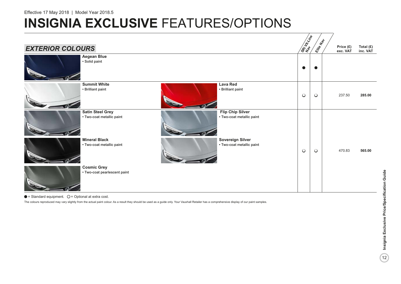# **INSIGNIA EXCLUSIVE FEATURES/OPTIONS**



 $\bullet$  = Standard equipment.  $\bigcirc$  = Optional at extra cost.

The colours reproduced may vary slightly from the actual paint colour. As a result they should be used as a guide only. Your Vauxhall Retailer has a comprehensive display of our paint samples.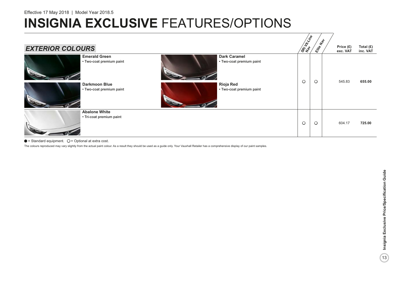| <b>EXTERIOR COLOURS</b>                                                                               | <b>SRI LIVE</b> | $\textbf{r}_{\phi}$<br>Eife | Price $(E)$<br>exc. VAT | Total (£)<br>inc. VAT |
|-------------------------------------------------------------------------------------------------------|-----------------|-----------------------------|-------------------------|-----------------------|
| <b>Emerald Green</b><br><b>Dark Caramel</b><br>• Two-coat premium paint<br>• Two-coat premium paint   | $\circ$         | $\circ$                     | 545.83                  | 655.00                |
| <b>Darkmoon Blue</b><br><b>Rioja Red</b><br>• Two-coat premium paint<br>• Two-coat premium paint<br>r |                 |                             |                         |                       |
| <b>Abalone White</b><br>• Tri-coat premium paint                                                      | $\circ$         | $\circ$                     | 604.17                  | 725.00                |

#### $\bullet$  = Standard equipment.  $\bigcirc$  = Optional at extra cost.

The colours reproduced may vary slightly from the actual paint colour. As a result they should be used as a guide only. Your Vauxhall Retailer has a comprehensive display of our paint samples.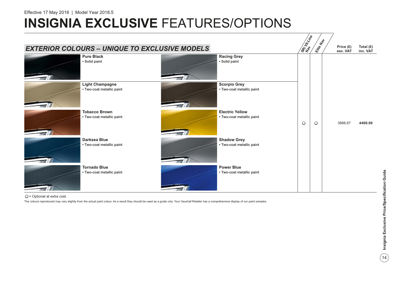# **INSIGNIA EXCLUSIVE FEATURES/OPTIONS**



 $Q$  = Optional at extra cost.

The colours reproduced may vary slightly from the actual paint colour. As a result they should be used as a guide only. Your Vauxhall Retailer has a comprehensive display of our paint samples.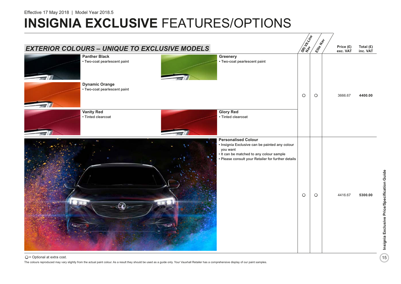# **INSIGNIA EXCLUSIVE FEATURES/OPTIONS**

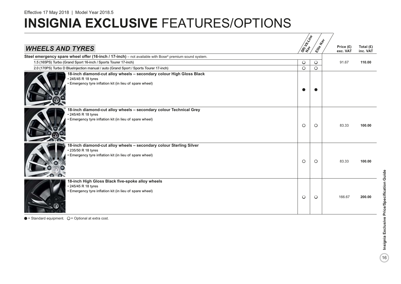# **INSIGNIA EXCLUSIVE FEATURES/OPTIONS**

|                                                                                                                                                        | SREVELING | Hal     |                       |                         |
|--------------------------------------------------------------------------------------------------------------------------------------------------------|-----------|---------|-----------------------|-------------------------|
| <b>WHEELS AND TYRES</b>                                                                                                                                |           | Elite   | Price (£)<br>exc. VAT | Total $(E)$<br>inc. VAT |
| Steel emergency spare wheel offer (16-inch / 17-inch) - not available with Bose® premium sound system.                                                 |           |         |                       |                         |
| 1.5 (165PS) Turbo (Grand Sport 16-inch / Sports Tourer 17-inch)                                                                                        | $\circ$   | $\circ$ | 91.67                 | 110.00                  |
| 2.0 (170PS) Turbo D Bluelnjection manual / auto (Grand Sport / Sports Tourer 17-inch)                                                                  | $\circ$   | $\circ$ |                       |                         |
| 18-inch diamond-cut alloy wheels - secondary colour High Gloss Black<br>• 245/45 R 18 tyres<br>• Emergency tyre inflation kit (in lieu of spare wheel) |           |         |                       |                         |
| 18-inch diamond-cut alloy wheels - secondary colour Technical Grey<br>• 245/45 R 18 tyres<br>· Emergency tyre inflation kit (in lieu of spare wheel)   | $\circ$   | $\circ$ | 83.33                 | 100.00                  |
| 18-inch diamond-cut alloy wheels - secondary colour Sterling Silver<br>• 235/50 R 18 tyres<br>Emergency tyre inflation kit (in lieu of spare wheel)    | $\circ$   | $\circ$ | 83.33                 | 100.00                  |
| 18-inch High Gloss Black five-spoke alloy wheels<br>• 245/45 R 18 tyres<br>Emergency tyre inflation kit (in lieu of spare wheel)                       | $\circ$   | $\circ$ | 166.67                | 200.00                  |

 $\bullet$  = Standard equipment.  $\bigcirc$  = Optional at extra cost.

 $\frac{1}{2}$  Insignia Exclusive Price/Specification Guide 16**Insignia Exclusive Price/Specification Guide**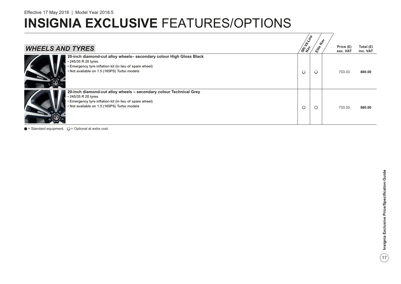# **INSIGNIA EXCLUSIVE FEATURES/OPTIONS**

|                                                                                                                                                                                                      | <b>SRI LIVING</b> | $z^{\phi}$ |                       |                         |
|------------------------------------------------------------------------------------------------------------------------------------------------------------------------------------------------------|-------------------|------------|-----------------------|-------------------------|
| <b>WHEELS AND TYRES</b>                                                                                                                                                                              |                   | Elite      | Price (£)<br>exc. VAT | Total $(E)$<br>inc. VAT |
| 20-inch diamond-cut alloy wheels- secondary colour High Gloss Black<br>• 245/35 R 20 tyres<br>• Emergency tyre inflation kit (in lieu of spare wheel)<br>• Not available on 1.5 (165PS) Turbo models | $\circ$           | $\circ$    | 733.33                | 880.00                  |
| 20-inch diamond-cut alloy wheels - secondary colour Technical Grey<br>• 245/35 R 20 tyres<br>• Emergency tyre inflation kit (in lieu of spare wheel)<br>• Not available on 1.5 (165PS) Turbo models  | $\circ$           | $\circ$    | 733.33                | 880.00                  |

 $\bullet$  = Standard equipment.  $\bigcirc$  = Optional at extra cost.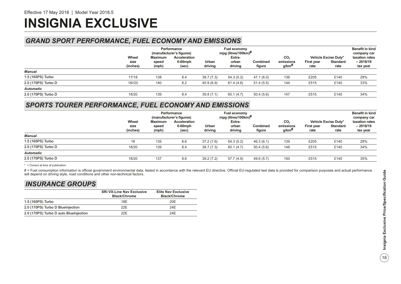# **INSIGNIA EXCLUSIVE**

# *GRAND SPORT PERFORMANCE, FUEL ECONOMY AND EMISSIONS*

|                     |                           | Performance<br>(manufacturer's figures) |                                     | Fuel economy<br>mpg (litres/100km) $#$ |                            |                           |                                          |                    |                                                 | <b>Benefit in kind</b><br>company car    |
|---------------------|---------------------------|-----------------------------------------|-------------------------------------|----------------------------------------|----------------------------|---------------------------|------------------------------------------|--------------------|-------------------------------------------------|------------------------------------------|
|                     | Wheel<br>size<br>(inches) | Maximum<br>speed<br>(mph)               | Acceleration<br>$0-60$ mph<br>(sec) | Urban<br>driving                       | Extra-<br>urban<br>driving | <b>Combined</b><br>figure | CO <sub>2</sub><br>emissions<br>$g$ /km# | First year<br>rate | Vehicle Excise Duty*<br><b>Standard</b><br>rate | taxation rates<br>$-2018/19$<br>tax year |
| Manual              |                           |                                         |                                     |                                        |                            |                           |                                          |                    |                                                 |                                          |
| 1.5 (165PS) Turbo   | 17/18                     | 138                                     | 8.4                                 | 38.7(7.3)                              | 54.3(5.2)                  | 47.1(6.0)                 | 136                                      | £205               | £140                                            | 28%                                      |
| 2.0 (170PS) Turbo D | 18//20                    | 140                                     | 8.2                                 | 40.9(6.9)                              | 61.4 (4.6)                 | 51.4(5.5)                 | 144                                      | £515               | £140                                            | 33%                                      |
| <b>Automatic</b>    |                           |                                         |                                     |                                        |                            |                           |                                          |                    |                                                 |                                          |
| 2.0 (170PS) Turbo D | 18/20                     | 139                                     | 8.4                                 | 39.8(7.1)                              | 60.1(4.7)                  | 50.4(5.6)                 | 147                                      | £515               | £140                                            | 34%                                      |

# *SPORTS TOURER PERFORMANCE, FUEL ECONOMY AND EMISSIONS*

|                     |                           | Performance<br>(manufacturer's figures) |                                     | Fuel economy<br>mpg (litres/100km) $#$ |                            |                           |                                                   |                    |                                          | <b>Benefit in kind</b><br>company car    |
|---------------------|---------------------------|-----------------------------------------|-------------------------------------|----------------------------------------|----------------------------|---------------------------|---------------------------------------------------|--------------------|------------------------------------------|------------------------------------------|
|                     | Wheel<br>size<br>(inches) | Maximum<br>speed<br>(mph)               | Acceleration<br>$0-60$ mph<br>(sec) | Urban<br>driving                       | Extra-<br>urban<br>driving | <b>Combined</b><br>figure | CO <sub>2</sub><br>emissions<br>g/km <sup>#</sup> | First year<br>rate | Vehicle Excise Duty*<br>Standard<br>rate | taxation rates<br>$-2018/19$<br>tax year |
| Manual              |                           |                                         |                                     |                                        |                            |                           |                                                   |                    |                                          |                                          |
| 1.5 (165PS) Turbo   | 18                        | 135                                     | 8.6                                 | 37.2(7.6)                              | 54.3(5.2)                  | 46.3(6.1)                 | 139                                               | £205               | £140                                     | 28%                                      |
| 2.0 (170PS) Turbo D | 18/20                     | 139                                     | 8.4                                 | 38.7(7.3)                              | 60.1 (4.7)                 | 50.4(5.6)                 | 148                                               | £515               | £140                                     | 34%                                      |
| <b>Automatic</b>    |                           |                                         |                                     |                                        |                            |                           |                                                   |                    |                                          |                                          |
| 2.0 (170PS) Turbo D | 18/20                     | 137                                     | 8.6                                 | 39.2(7.2)                              | 57.7 (4.9)                 | 49.6 (5.7)                | 150                                               | £515               | £140                                     | 35%                                      |

\* = Correct at time of publication.

# = Fuel consumption information is official government environmental data, tested in accordance with the relevant EU directive. Official EU-regulated test data is provided for comparison purposes and actual performance will depend on driving style, road conditions and other non-technical factors.

# *INSURANCE GROUPS*

|                                        | <b>SRi VX-Line Nav Exclusive</b><br><b>Black/Chrome</b> | <b>Elite Nav Exclusive</b><br><b>Black/Chrome</b> |
|----------------------------------------|---------------------------------------------------------|---------------------------------------------------|
| 1.5 (165PS) Turbo                      | 18F                                                     | 20E                                               |
| 2.0 (170PS) Turbo D BlueInjection      | 22F                                                     | 24F                                               |
| 2.0 (170PS) Turbo D auto BlueInjection | 22F                                                     | 24F                                               |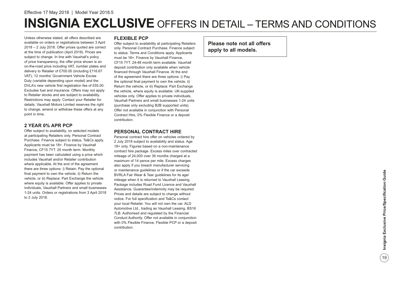Unless otherwise stated, all offers described are available on orders or registrations between 3 April 2018 – 2 July 2018. Offer prices quoted are correct at the time of publication (April 2018). Prices are subject to change. In line with Vauxhall's policy of price transparency, the offer price shown is an on-the-road price including VAT, number plates and delivery to Retailer of £700.00 (including £116.67 VAT), 12 months' Government Vehicle Excise Duty (variable depending upon model) and the DVLA's new vehicle first registration fee of £55.00. Excludes fuel and insurance. Offers may not apply to Retailer stocks and are subject to availability. Restrictions may apply. Contact your Retailer for details. Vauxhall Motors Limited reserves the right to change, amend or withdraw these offers at any point in time.

### **2 YEAR 0% APR PCP**

Offer subject to availability, on selected models at participating Retailers only. Personal Contract Purchase. Finance subject to status, Ts&Cs apply. Applicants must be 18+. Finance by Vauxhall Finance, CF15 7YT. 25 month term. Monthly payment has been calculated using a price which includes Vauxhall and/or Retailer contribution where applicable. At the end of the agreement there are three options: i) Retain: Pay the optional final payment to own the vehicle, ii) Return the vehicle, or iii) Replace: Part Exchange the vehicle where equity is available. Offer applies to private individuals, Vauxhall Partners and small businesses 1-24 units. Orders or registrations from 3 April 2018 to 2 July 2018.

### **FLEXIBLE PCP**

Offer subject to availability at participating Retailers only. Personal Contract Purchase. Finance subject to status. Terms and Conditions apply. Applicants must be 18+. Finance by Vauxhall Finance, CF15 7YT. 24-48 month term available. Vauxhall deposit contribution only available when vehicle financed through Vauxhall Finance. At the end of the agreement there are three options: i) Pay the optional final payment to own the vehicle, ii) Return the vehicle, or iii) Replace: Part Exchange the vehicle, where equity is available. UK-supplied vehicles only. Offer applies to private individuals, Vauxhall Partners and small businesses 1-24 units (purchase only excluding B2B supported units). Offer not available in conjunction with Personal Contract Hire, 0% Flexible Finance or a deposit contribution.

### **PERSONAL CONTRACT HIRE**

Personal contract hire offer on vehicles ordered by 2 July 2018 subject to availability and status. Age 18+ only. Figures based on a non-maintenance contract hire package. Excess miles over contracted mileage of 24,000 over 36 months charged at a maximum of 14 pence per mile. Excess charges also apply if you breach manufacturer servicing or maintenance guidelines or if the car exceeds BVRLA Fair Wear & Tear guidelines for its age/ mileage when it is returned to Vauxhall Leasing. Package includes Road Fund Licence and Vauxhall Assistance. Guarantee/indemnity may be required. Prices and details are subject to change without notice. For full specification and Ts&Cs contact your local Retailer. You will not own the car. ALD Automotive Ltd., trading as Vauxhall Leasing, BS16 7LB. Authorised and regulated by the Financial Conduct Authority. Offer not available in conjunction with 0% Flexible Finance, Flexible PCP or a deposit contribution.

**Please note not all offers apply to all models.**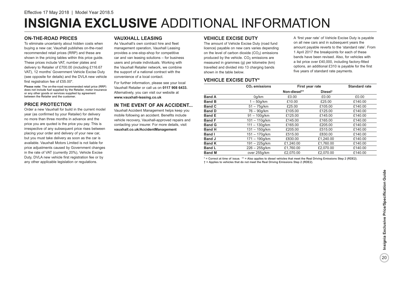# **INSIGNIA EXCLUSIVE** ADDITIONAL INFORMATION

### **ON-THE-ROAD PRICES**

To eliminate uncertainty about hidden costs when buying a new car, Vauxhall publishes on-the-road recommended retail prices (RRP) and these are shown in the pricing tables within this price guide. These prices include VAT, number plates and delivery to Retailer of £700.00 (including £116.67 VAT), 12 months' Government Vehicle Excise Duty (see opposite for details) and the DVLA new vehicle first registration fee of £55.00\*.

**Please note:** The on-the-road recommended retail price (RRP) does not include fuel supplied by the Retailer, motor insurance or any other goods or services supplied by agreement between the Retailer and the customer.

## **PRICE PROTECTION**

Order a new Vauxhall for build in the current model year (as confirmed by your Retailer) for delivery no more than three months in advance and the price you are quoted is the price you pay. This is irrespective of any subsequent price rises between placing your order and delivery of your new car, but you must take delivery as soon as the car is available. Vauxhall Motors Limited is not liable for price adjustments caused by Government changes in the rate of VAT (currently 20%), Vehicle Excise Duty, DVLA new vehicle first registration fee or by any other applicable legislation or regulations.

### **VAUXHALL LEASING**

As Vauxhall's own contract hire and fleet management operation, Vauxhall Leasing provides a one-stop-shop for competitive car and van leasing solutions – for business users and private individuals. Working with the Vauxhall Retailer network, we combine the support of a national contract with the convenience of a local contact.

For further information, please see your local Vauxhall Retailer or call us on **0117 908 6433.** Alternatively, you can visit our website at **www.vauxhall-leasing.co.uk**

## **IN THE EVENT OF AN ACCIDENT...**

Vauxhall Accident Management helps keep you mobile following an accident. Benefits include vehicle recovery, Vauxhall-approved repairs and contacting your insurer. For more details, visit **vauxhall.co.uk/AccidentManagement**

### **VEHICLE EXCISE DUTY**

The amount of Vehicle Excise Duty (road fund licence) payable on new cars varies depending on the level of carbon dioxide  $(CO<sub>2</sub>)$  emissions produced by the vehicle.  $CO<sub>2</sub>$  emissions are measured in grammes (g) per kilometre (km) travelled and divided into 13 charging bands shown in the table below.

A 'first year rate' of Vehicle Excise Duty is payable on all new cars and in subsequent years the amount payable reverts to the 'standard rate'. From 1 April 2017 the breakpoints for each of these bands have been revised. Also, for vehicles with a list price over £40,000, including factory-fitted options, an additional £310 is payable for the first five years of standard rate payments.

### **VEHICLE EXCISE DUTY\***

|               | CO <sub>2</sub> emissions | First year rate |                     | <b>Standard rate</b> |  |  |
|---------------|---------------------------|-----------------|---------------------|----------------------|--|--|
|               |                           | Non-diesel**    | Diesel <sup>t</sup> |                      |  |  |
| <b>Band A</b> | 0q/km                     | £0.00           | £0.00               | £0.00                |  |  |
| <b>Band B</b> | $1-50q/km$                | £10.00          | £25.00              | £140.00              |  |  |
| <b>Band C</b> | $51 - 75q/km$             | £25.00          | £105.00             | £140.00              |  |  |
| <b>Band D</b> | 76 - 90a/km               | £105.00         | £125.00             | £140.00              |  |  |
| <b>Band E</b> | $91 - 100q/km$            | £125.00         | £145.00             | £140.00              |  |  |
| <b>Band F</b> | $101 - 110q/km$           | £145.00         | £165.00             | £140.00              |  |  |
| <b>Band G</b> | $111 - 130q/km$           | £165.00         | £205.00             | £140.00              |  |  |
| <b>Band H</b> | $131 - 150a/km$           | £205.00         | £515.00             | £140.00              |  |  |
| <b>Band I</b> | $151 - 170a/km$           | £515.00         | £830.00             | £140.00              |  |  |
| <b>Band J</b> | $171 - 190q/km$           | £830.00         | £1.240.00           | £140.00              |  |  |
| <b>Band K</b> | $191 - 225$ g/km          | £1,240.00       | £1.760.00           | £140.00              |  |  |
| <b>Band L</b> | $226 - 255q/km$           | £1,760.00       | £2,070.00           | £140.00              |  |  |
| <b>Band M</b> | over 255q/km              | £2.070.00       | £2.070.00           | £140.00              |  |  |

\* = Correct at time of issue. \*\* = Also applies to diesel vehicles that meet the Real Driving Emissions Step 2 (RDE2). † = Applies to vehicles that do not meet the Real Driving Emissions Step 2 (RDE2).